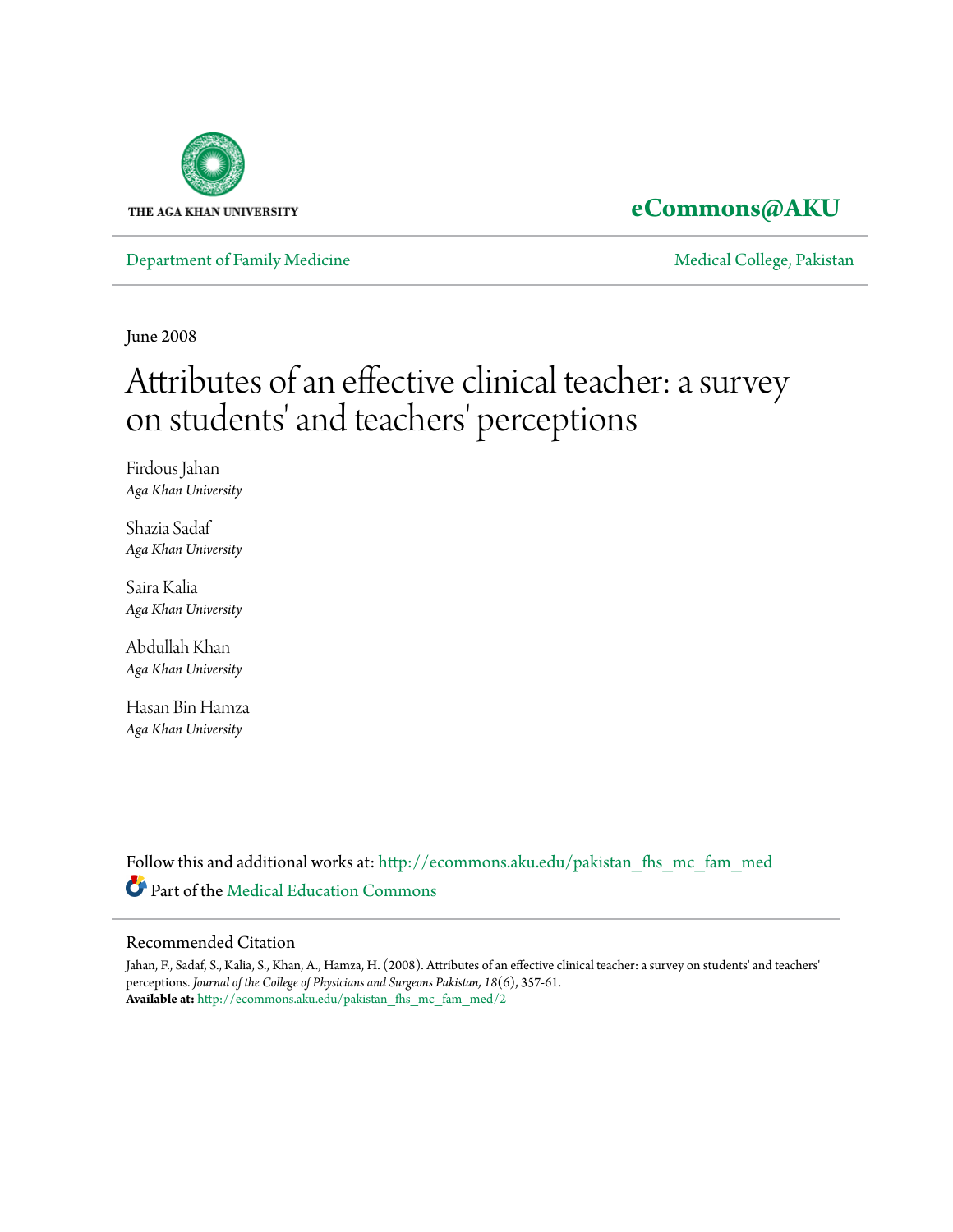

### **[eCommons@AKU](http://ecommons.aku.edu?utm_source=ecommons.aku.edu%2Fpakistan_fhs_mc_fam_med%2F2&utm_medium=PDF&utm_campaign=PDFCoverPages)**

[Department of Family Medicine](http://ecommons.aku.edu/pakistan_fhs_mc_fam_med?utm_source=ecommons.aku.edu%2Fpakistan_fhs_mc_fam_med%2F2&utm_medium=PDF&utm_campaign=PDFCoverPages) and [Medical College, Pakistan](http://ecommons.aku.edu/pakistan_fhs_mc?utm_source=ecommons.aku.edu%2Fpakistan_fhs_mc_fam_med%2F2&utm_medium=PDF&utm_campaign=PDFCoverPages)

June 2008

# Attributes of an effective clinical teacher: a survey on students' and teachers' perceptions

Firdous Jahan *Aga Khan University*

Shazia Sadaf *Aga Khan University*

Saira Kalia *Aga Khan University*

Abdullah Khan *Aga Khan University*

Hasan Bin Hamza *Aga Khan University*

Follow this and additional works at: [http://ecommons.aku.edu/pakistan\\_fhs\\_mc\\_fam\\_med](http://ecommons.aku.edu/pakistan_fhs_mc_fam_med?utm_source=ecommons.aku.edu%2Fpakistan_fhs_mc_fam_med%2F2&utm_medium=PDF&utm_campaign=PDFCoverPages) Part of the [Medical Education Commons](http://network.bepress.com/hgg/discipline/1125?utm_source=ecommons.aku.edu%2Fpakistan_fhs_mc_fam_med%2F2&utm_medium=PDF&utm_campaign=PDFCoverPages)

#### Recommended Citation

Jahan, F., Sadaf, S., Kalia, S., Khan, A., Hamza, H. (2008). Attributes of an effective clinical teacher: a survey on students' and teachers' perceptions. *Journal of the College of Physicians and Surgeons Pakistan, 18*(6), 357-61. **Available at:** [http://ecommons.aku.edu/pakistan\\_fhs\\_mc\\_fam\\_med/2](http://ecommons.aku.edu/pakistan_fhs_mc_fam_med/2)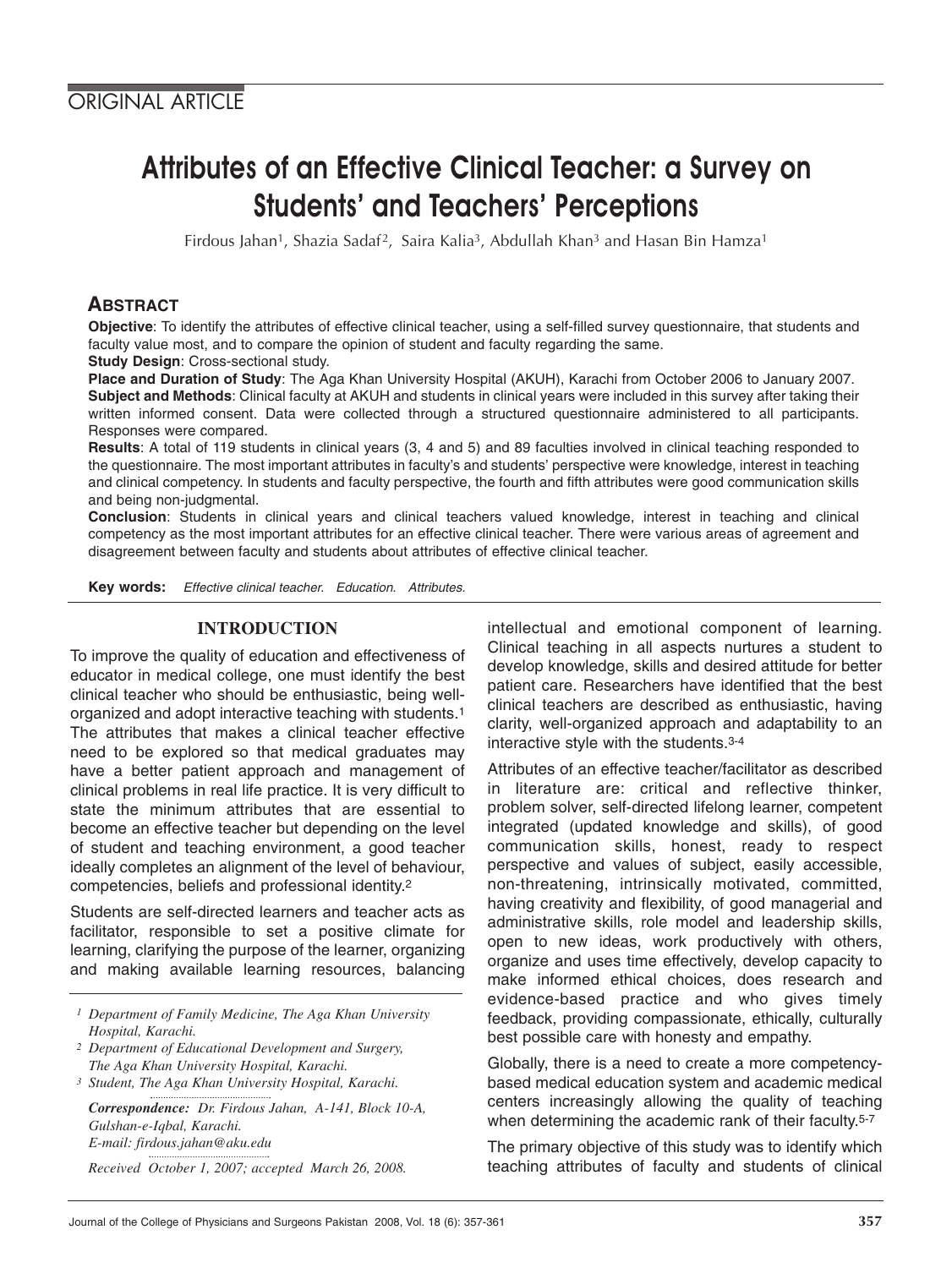## Attributes of an Effective Clinical Teacher: a Survey on Students' and Teachers' Perceptions

Firdous Jahan<sup>1</sup>, Shazia Sadaf<sup>2</sup>, Saira Kalia<sup>3</sup>, Abdullah Khan<sup>3</sup> and Hasan Bin Hamza<sup>1</sup>

#### **ABSTRACT**

**Objective**: To identify the attributes of effective clinical teacher, using a self-filled survey questionnaire, that students and faculty value most, and to compare the opinion of student and faculty regarding the same.

**Study Design**: Cross-sectional study.

**Place and Duration of Study**: The Aga Khan University Hospital (AKUH), Karachi from October 2006 to January 2007. **Subject and Methods**: Clinical faculty at AKUH and students in clinical years were included in this survey after taking their written informed consent. Data were collected through a structured questionnaire administered to all participants. Responses were compared.

**Results**: A total of 119 students in clinical years (3, 4 and 5) and 89 faculties involved in clinical teaching responded to the questionnaire. The most important attributes in faculty's and students' perspective were knowledge, interest in teaching and clinical competency. In students and faculty perspective, the fourth and fifth attributes were good communication skills and being non-judgmental.

**Conclusion**: Students in clinical years and clinical teachers valued knowledge, interest in teaching and clinical competency as the most important attributes for an effective clinical teacher. There were various areas of agreement and disagreement between faculty and students about attributes of effective clinical teacher.

**Key words:** Effective clinical teacher. Education. Attributes.

#### **INTRODUCTION**

To improve the quality of education and effectiveness of educator in medical college, one must identify the best clinical teacher who should be enthusiastic, being wellorganized and adopt interactive teaching with students.1 The attributes that makes a clinical teacher effective need to be explored so that medical graduates may have a better patient approach and management of clinical problems in real life practice. It is very difficult to state the minimum attributes that are essential to become an effective teacher but depending on the level of student and teaching environment, a good teacher ideally completes an alignment of the level of behaviour, competencies, beliefs and professional identity.2

Students are self-directed learners and teacher acts as facilitator, responsible to set a positive climate for learning, clarifying the purpose of the learner, organizing and making available learning resources, balancing

*1 Department of Family Medicine, The Aga Khan University Hospital, Karachi.*

- *<sup>2</sup> Department of Educational Development and Surgery, The Aga Khan University Hospital, Karachi.*
- *3 Student, The Aga Khan University Hospital, Karachi.*

*Correspondence: Dr. Firdous Jahan, A-141, Block 10-A, Gulshan-e-Iqbal, Karachi. E-mail: firdous.jahan@aku.edu*

*Received October 1, 2007; accepted March 26, 2008.*

intellectual and emotional component of learning. Clinical teaching in all aspects nurtures a student to develop knowledge, skills and desired attitude for better patient care. Researchers have identified that the best clinical teachers are described as enthusiastic, having clarity, well-organized approach and adaptability to an interactive style with the students.3-4

Attributes of an effective teacher/facilitator as described in literature are: critical and reflective thinker, problem solver, self-directed lifelong learner, competent integrated (updated knowledge and skills), of good communication skills, honest, ready to respect perspective and values of subject, easily accessible, non-threatening, intrinsically motivated, committed, having creativity and flexibility, of good managerial and administrative skills, role model and leadership skills, open to new ideas, work productively with others, organize and uses time effectively, develop capacity to make informed ethical choices, does research and evidence-based practice and who gives timely feedback, providing compassionate, ethically, culturally best possible care with honesty and empathy.

Globally, there is a need to create a more competencybased medical education system and academic medical centers increasingly allowing the quality of teaching when determining the academic rank of their faculty.<sup>5-7</sup>

The primary objective of this study was to identify which teaching attributes of faculty and students of clinical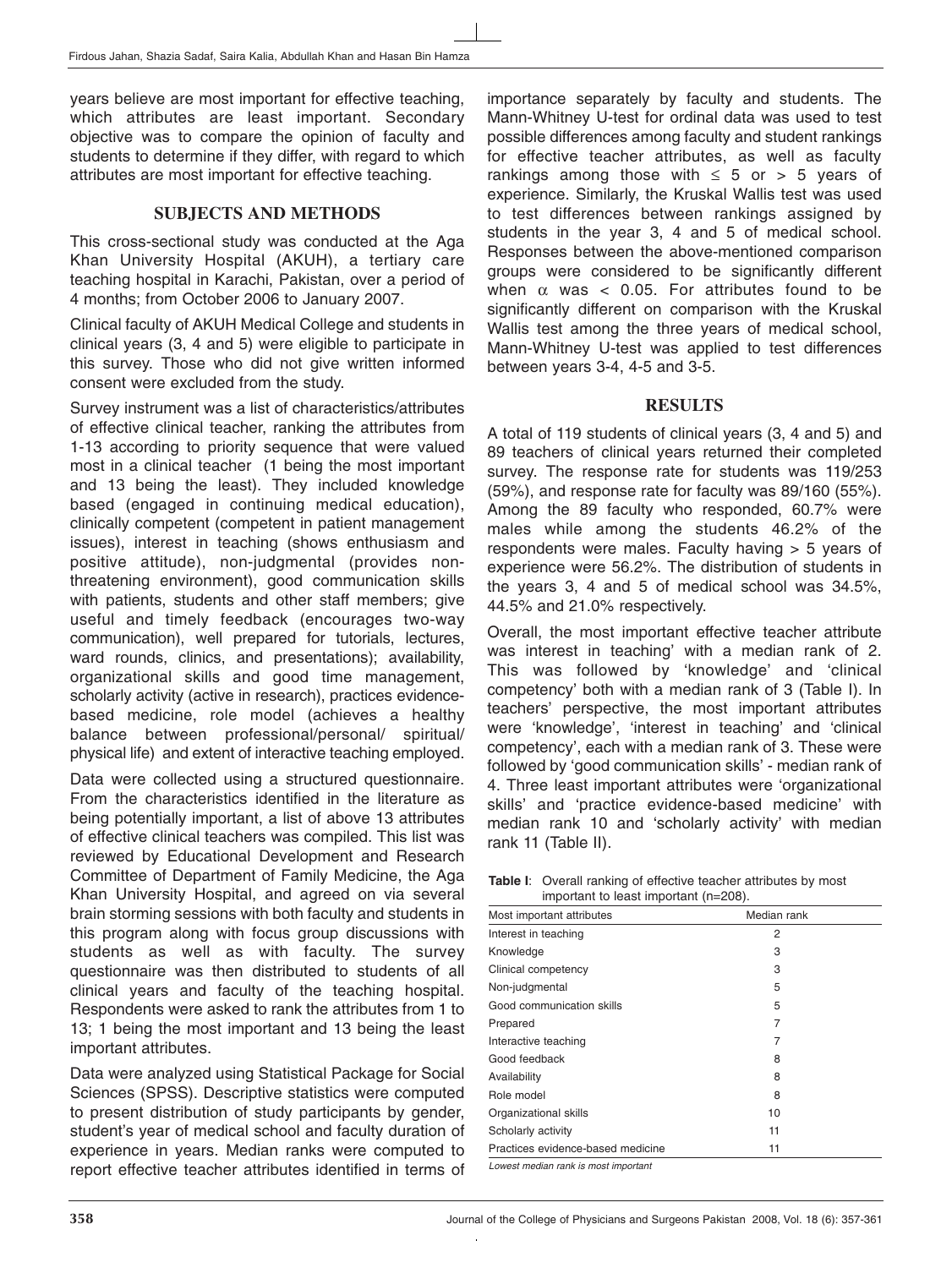years believe are most important for effective teaching, which attributes are least important. Secondary objective was to compare the opinion of faculty and students to determine if they differ, with regard to which attributes are most important for effective teaching.

#### **SUBJECTS AND METHODS**

This cross-sectional study was conducted at the Aga Khan University Hospital (AKUH), a tertiary care teaching hospital in Karachi, Pakistan, over a period of 4 months; from October 2006 to January 2007.

Clinical faculty of AKUH Medical College and students in clinical years (3, 4 and 5) were eligible to participate in this survey. Those who did not give written informed consent were excluded from the study.

Survey instrument was a list of characteristics/attributes of effective clinical teacher, ranking the attributes from 1-13 according to priority sequence that were valued most in a clinical teacher (1 being the most important and 13 being the least). They included knowledge based (engaged in continuing medical education), clinically competent (competent in patient management issues), interest in teaching (shows enthusiasm and positive attitude), non-judgmental (provides nonthreatening environment), good communication skills with patients, students and other staff members; give useful and timely feedback (encourages two-way communication), well prepared for tutorials, lectures, ward rounds, clinics, and presentations); availability, organizational skills and good time management, scholarly activity (active in research), practices evidencebased medicine, role model (achieves a healthy balance between professional/personal/ spiritual/ physical life) and extent of interactive teaching employed.

Data were collected using a structured questionnaire. From the characteristics identified in the literature as being potentially important, a list of above 13 attributes of effective clinical teachers was compiled. This list was reviewed by Educational Development and Research Committee of Department of Family Medicine, the Aga Khan University Hospital, and agreed on via several brain storming sessions with both faculty and students in this program along with focus group discussions with students as well as with faculty. The survey questionnaire was then distributed to students of all clinical years and faculty of the teaching hospital. Respondents were asked to rank the attributes from 1 to 13; 1 being the most important and 13 being the least important attributes.

Data were analyzed using Statistical Package for Social Sciences (SPSS). Descriptive statistics were computed to present distribution of study participants by gender, student's year of medical school and faculty duration of experience in years. Median ranks were computed to report effective teacher attributes identified in terms of

importance separately by faculty and students. The Mann-Whitney U-test for ordinal data was used to test possible differences among faculty and student rankings for effective teacher attributes, as well as faculty rankings among those with  $\leq$  5 or > 5 years of experience. Similarly, the Kruskal Wallis test was used to test differences between rankings assigned by students in the year 3, 4 and 5 of medical school. Responses between the above-mentioned comparison groups were considered to be significantly different when  $\alpha$  was < 0.05. For attributes found to be significantly different on comparison with the Kruskal Wallis test among the three years of medical school, Mann-Whitney U-test was applied to test differences between years 3-4, 4-5 and 3-5.

#### **RESULTS**

A total of 119 students of clinical years (3, 4 and 5) and 89 teachers of clinical years returned their completed survey. The response rate for students was 119/253 (59%), and response rate for faculty was 89/160 (55%). Among the 89 faculty who responded, 60.7% were males while among the students 46.2% of the respondents were males. Faculty having > 5 years of experience were 56.2%. The distribution of students in the years 3, 4 and 5 of medical school was 34.5%, 44.5% and 21.0% respectively.

Overall, the most important effective teacher attribute was interest in teaching' with a median rank of 2. This was followed by 'knowledge' and 'clinical competency' both with a median rank of 3 (Table I). In teachers' perspective, the most important attributes were 'knowledge', 'interest in teaching' and 'clinical competency', each with a median rank of 3. These were followed by 'good communication skills' - median rank of 4. Three least important attributes were 'organizational skills' and 'practice evidence-based medicine' with median rank 10 and 'scholarly activity' with median rank 11 (Table II).

| <b>Table I:</b> Overall ranking of effective teacher attributes by most |
|-------------------------------------------------------------------------|
| important to least important (n=208).                                   |

| Most important attributes         | Median rank |
|-----------------------------------|-------------|
| Interest in teaching              | 2           |
| Knowledge                         | 3           |
| Clinical competency               | 3           |
| Non-judgmental                    | 5           |
| Good communication skills         | 5           |
| Prepared                          | 7           |
| Interactive teaching              | 7           |
| Good feedback                     | 8           |
| Availability                      | 8           |
| Role model                        | 8           |
| Organizational skills             | 10          |
| Scholarly activity                | 11          |
| Practices evidence-based medicine | 11          |
|                                   |             |

Lowest median rank is most important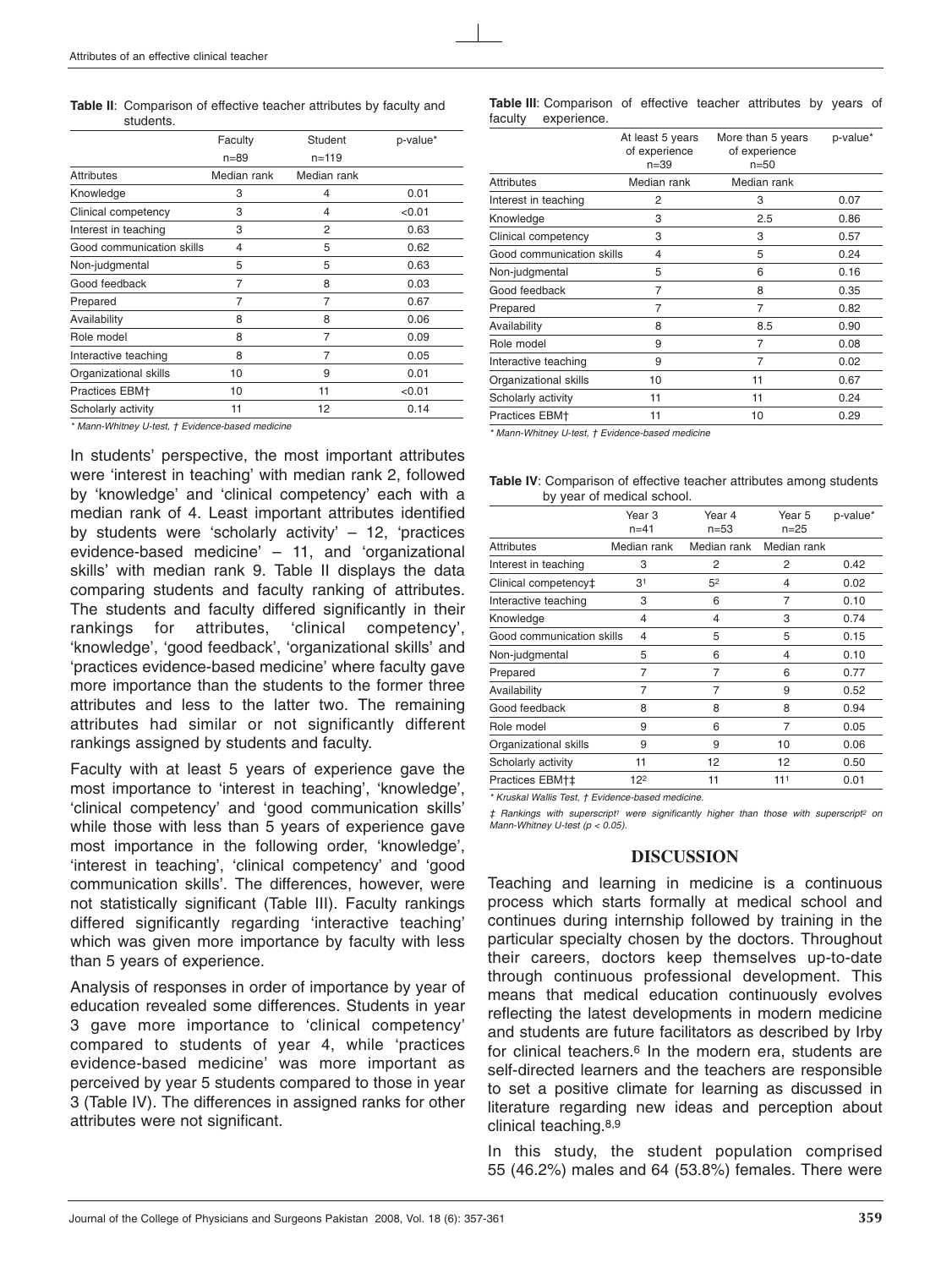**Table II**: Comparison of effective teacher attributes by faculty and students.

|                           | Faculty     | Student     | p-value* |
|---------------------------|-------------|-------------|----------|
|                           | $n = 89$    | $n = 119$   |          |
| Attributes                | Median rank | Median rank |          |
| Knowledge                 | 3           | 4           | 0.01     |
| Clinical competency       | 3           | 4           | < 0.01   |
| Interest in teaching      | 3           | 2           | 0.63     |
| Good communication skills | 4           | 5           | 0.62     |
| Non-judgmental            | 5           | 5           | 0.63     |
| Good feedback             | 7           | 8           | 0.03     |
| Prepared                  | 7           | 7           | 0.67     |
| Availability              | 8           | 8           | 0.06     |
| Role model                | 8           | 7           | 0.09     |
| Interactive teaching      | 8           | 7           | 0.05     |
| Organizational skills     | 10          | 9           | 0.01     |
| Practices EBM+            | 10          | 11          | < 0.01   |
| Scholarly activity        | 11          | 12          | 0.14     |

\* Mann-Whitney U-test, † Evidence-based medicine

In students' perspective, the most important attributes were 'interest in teaching' with median rank 2, followed by 'knowledge' and 'clinical competency' each with a median rank of 4. Least important attributes identified by students were 'scholarly activity'  $-12$ , 'practices evidence-based medicine' – 11, and 'organizational skills' with median rank 9. Table II displays the data comparing students and faculty ranking of attributes. The students and faculty differed significantly in their rankings for attributes, 'clinical competency', 'knowledge', 'good feedback', 'organizational skills' and 'practices evidence-based medicine' where faculty gave more importance than the students to the former three attributes and less to the latter two. The remaining attributes had similar or not significantly different rankings assigned by students and faculty.

Faculty with at least 5 years of experience gave the most importance to 'interest in teaching', 'knowledge', 'clinical competency' and 'good communication skills' while those with less than 5 years of experience gave most importance in the following order, 'knowledge', 'interest in teaching', 'clinical competency' and 'good communication skills'. The differences, however, were not statistically significant (Table III). Faculty rankings differed significantly regarding 'interactive teaching' which was given more importance by faculty with less than 5 years of experience.

Analysis of responses in order of importance by year of education revealed some differences. Students in year 3 gave more importance to 'clinical competency' compared to students of year 4, while 'practices evidence-based medicine' was more important as perceived by year 5 students compared to those in year 3 (Table IV). The differences in assigned ranks for other attributes were not significant.

**Table III**: Comparison of effective teacher attributes by years of faculty experience.

|                           | At least 5 years<br>of experience<br>$n = 39$ | More than 5 years<br>of experience<br>$n=50$ | p-value* |
|---------------------------|-----------------------------------------------|----------------------------------------------|----------|
| <b>Attributes</b>         | Median rank                                   | Median rank                                  |          |
| Interest in teaching      | 2                                             | 3                                            | 0.07     |
| Knowledge                 | 3                                             | 2.5                                          | 0.86     |
| Clinical competency       | 3                                             | 3                                            | 0.57     |
| Good communication skills | 4                                             | 5                                            | 0.24     |
| Non-judgmental            | 5                                             | 6                                            | 0.16     |
| Good feedback             | 7                                             | 8                                            | 0.35     |
| Prepared                  | 7                                             | 7                                            | 0.82     |
| Availability              | 8                                             | 8.5                                          | 0.90     |
| Role model                | 9                                             | 7                                            | 0.08     |
| Interactive teaching      | 9                                             | 7                                            | 0.02     |
| Organizational skills     | 10                                            | 11                                           | 0.67     |
| Scholarly activity        | 11                                            | 11                                           | 0.24     |
| <b>Practices EBM+</b>     | 11                                            | 10                                           | 0.29     |
|                           |                                               |                                              |          |

\* Mann-Whitney U-test, † Evidence-based medicine

| <b>Table IV:</b> Comparison of effective teacher attributes among students |  |  |
|----------------------------------------------------------------------------|--|--|
| by year of medical school.                                                 |  |  |

|                           | Year 3<br>$n = 41$ | Year 4<br>$n = 53$ | Year 5<br>$n = 25$ | p-value* |
|---------------------------|--------------------|--------------------|--------------------|----------|
| <b>Attributes</b>         | Median rank        | Median rank        | Median rank        |          |
| Interest in teaching      | 3                  | 2                  | 2                  | 0.42     |
| Clinical competency‡      | 31                 | 52                 | 4                  | 0.02     |
| Interactive teaching      | 3                  | 6                  | 7                  | 0.10     |
| Knowledge                 | 4                  | 4                  | 3                  | 0.74     |
| Good communication skills | 4                  | 5                  | 5                  | 0.15     |
| Non-judgmental            | 5                  | 6                  | 4                  | 0.10     |
| Prepared                  | 7                  | 7                  | 6                  | 0.77     |
| Availability              | 7                  | 7                  | 9                  | 0.52     |
| Good feedback             | 8                  | 8                  | 8                  | 0.94     |
| Role model                | 9                  | 6                  | 7                  | 0.05     |
| Organizational skills     | 9                  | 9                  | 10                 | 0.06     |
| Scholarly activity        | 11                 | 12                 | 12                 | 0.50     |
| Practices EBM+‡           | 122                | 11                 | 111                | 0.01     |

\* Kruskal Wallis Test, † Evidence-based medicine.

‡ Rankings with superscript1 were significantly higher than those with superscript2 on Mann-Whitney U-test  $(p < 0.05)$ .

#### **DISCUSSION**

Teaching and learning in medicine is a continuous process which starts formally at medical school and continues during internship followed by training in the particular specialty chosen by the doctors. Throughout their careers, doctors keep themselves up-to-date through continuous professional development. This means that medical education continuously evolves reflecting the latest developments in modern medicine and students are future facilitators as described by Irby for clinical teachers.6 In the modern era, students are self-directed learners and the teachers are responsible to set a positive climate for learning as discussed in literature regarding new ideas and perception about clinical teaching.8,9

In this study, the student population comprised 55 (46.2%) males and 64 (53.8%) females. There were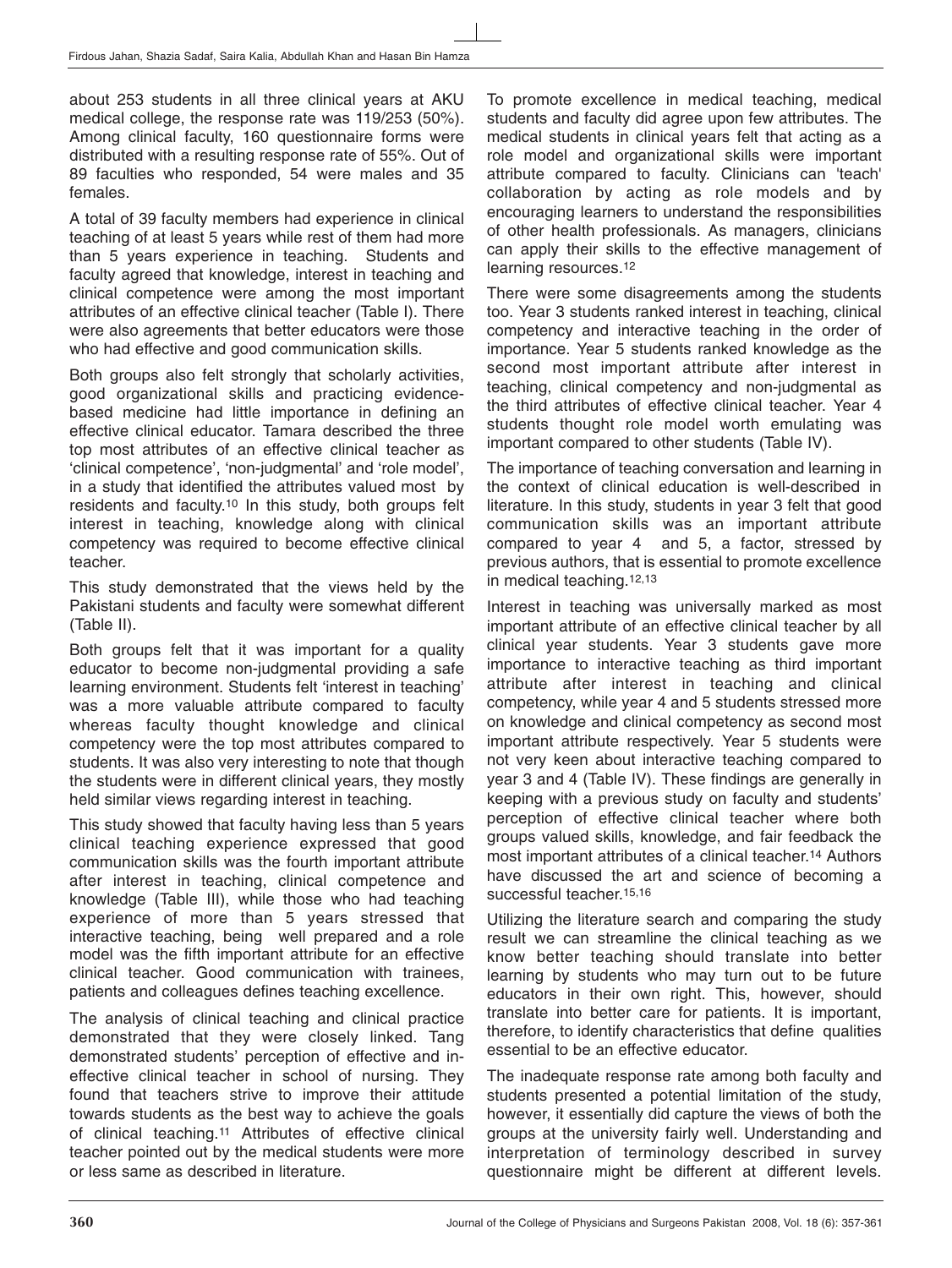about 253 students in all three clinical years at AKU medical college, the response rate was 119/253 (50%). Among clinical faculty, 160 questionnaire forms were distributed with a resulting response rate of 55%. Out of 89 faculties who responded, 54 were males and 35 females.

A total of 39 faculty members had experience in clinical teaching of at least 5 years while rest of them had more than 5 years experience in teaching. Students and faculty agreed that knowledge, interest in teaching and clinical competence were among the most important attributes of an effective clinical teacher (Table I). There were also agreements that better educators were those who had effective and good communication skills.

Both groups also felt strongly that scholarly activities, good organizational skills and practicing evidencebased medicine had little importance in defining an effective clinical educator. Tamara described the three top most attributes of an effective clinical teacher as 'clinical competence', 'non-judgmental' and 'role model', in a study that identified the attributes valued most by residents and faculty.10 In this study, both groups felt interest in teaching, knowledge along with clinical competency was required to become effective clinical teacher.

This study demonstrated that the views held by the Pakistani students and faculty were somewhat different (Table II).

Both groups felt that it was important for a quality educator to become non-judgmental providing a safe learning environment. Students felt 'interest in teaching' was a more valuable attribute compared to faculty whereas faculty thought knowledge and clinical competency were the top most attributes compared to students. It was also very interesting to note that though the students were in different clinical years, they mostly held similar views regarding interest in teaching.

This study showed that faculty having less than 5 years clinical teaching experience expressed that good communication skills was the fourth important attribute after interest in teaching, clinical competence and knowledge (Table III), while those who had teaching experience of more than 5 years stressed that interactive teaching, being well prepared and a role model was the fifth important attribute for an effective clinical teacher. Good communication with trainees, patients and colleagues defines teaching excellence.

The analysis of clinical teaching and clinical practice demonstrated that they were closely linked. Tang demonstrated students' perception of effective and ineffective clinical teacher in school of nursing. They found that teachers strive to improve their attitude towards students as the best way to achieve the goals of clinical teaching.11 Attributes of effective clinical teacher pointed out by the medical students were more or less same as described in literature.

To promote excellence in medical teaching, medical students and faculty did agree upon few attributes. The medical students in clinical years felt that acting as a role model and organizational skills were important attribute compared to faculty. Clinicians can 'teach' collaboration by acting as role models and by encouraging learners to understand the responsibilities of other health professionals. As managers, clinicians can apply their skills to the effective management of learning resources.12

There were some disagreements among the students too. Year 3 students ranked interest in teaching, clinical competency and interactive teaching in the order of importance. Year 5 students ranked knowledge as the second most important attribute after interest in teaching, clinical competency and non-judgmental as the third attributes of effective clinical teacher. Year 4 students thought role model worth emulating was important compared to other students (Table IV).

The importance of teaching conversation and learning in the context of clinical education is well-described in literature. In this study, students in year 3 felt that good communication skills was an important attribute compared to year 4 and 5, a factor, stressed by previous authors, that is essential to promote excellence in medical teaching.12,13

Interest in teaching was universally marked as most important attribute of an effective clinical teacher by all clinical year students. Year 3 students gave more importance to interactive teaching as third important attribute after interest in teaching and clinical competency, while year 4 and 5 students stressed more on knowledge and clinical competency as second most important attribute respectively. Year 5 students were not very keen about interactive teaching compared to year 3 and 4 (Table IV). These findings are generally in keeping with a previous study on faculty and students' perception of effective clinical teacher where both groups valued skills, knowledge, and fair feedback the most important attributes of a clinical teacher.14 Authors have discussed the art and science of becoming a successful teacher.<sup>15,16</sup>

Utilizing the literature search and comparing the study result we can streamline the clinical teaching as we know better teaching should translate into better learning by students who may turn out to be future educators in their own right. This, however, should translate into better care for patients. It is important, therefore, to identify characteristics that define qualities essential to be an effective educator.

The inadequate response rate among both faculty and students presented a potential limitation of the study, however, it essentially did capture the views of both the groups at the university fairly well. Understanding and interpretation of terminology described in survey questionnaire might be different at different levels.